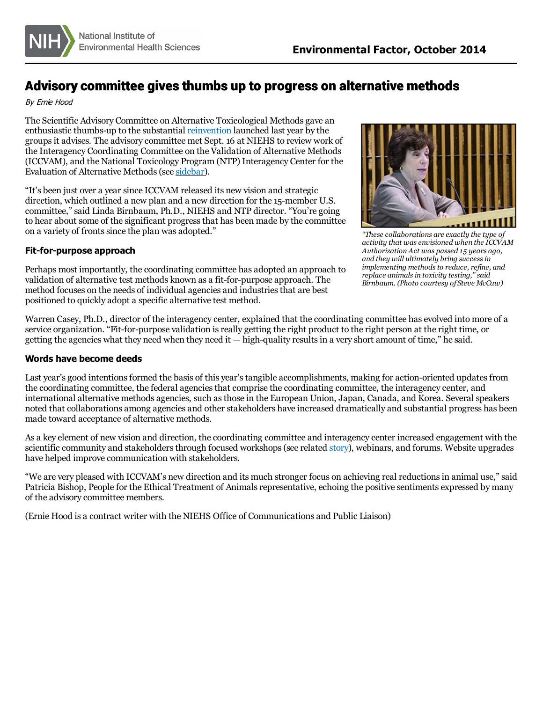

# Advisory committee gives thumbs up to progress on alternative methods

#### By Ernie Hood

The Scientific Advisory Committee on Alternative Toxicological Methods gave an enthusiastic thumbs-up to the substantial [reinvention](/news/newsletter/2013/10/spotlight-iccvam/index.htm) launched last year by the groupsit advises. The advisory committee met Sept. 16 at NIEHS to review work of the Interagency Coordinating Committee on the Validation of Alternative Methods (ICCVAM), and the National Toxicology Program (NTP) Interagency Center for the Evaluation of Alternative Methods(see sidebar).

"It's been just over a year since ICCVAM released its new vision and strategic direction, which outlined a new plan and a new direction for the 15-member U.S. committee," said Linda Birnbaum, Ph.D., NIEHS and NTP director. "You're going to hear about some of the significant progressthat has been made by the committee on a variety of fronts since the plan was adopted."

### **Fit-for-purpose approach**

Perhaps most importantly, the coordinating committee has adopted an approach to validation of alternative test methods known as a fit-for-purpose approach. The method focuses on the needs of individual agencies and industriesthat are best positioned to quickly adopt a specific alternative test method.



*"These collaborations are exactly the type of activity that was envisioned when the ICCVAM Authorization Act was passed 15 years ago, and they will ultimately bring successin implementing methodsto reduce, refine, and replace animalsin toxicity testing," said Birnbaum. (Photo courtesy of Steve McCaw)*

Warren Casey, Ph.D., director of the interagency center, explained that the coordinating committee has evolved into more of a service organization. "Fit-for-purpose validation isreally getting the right product to the right person at the right time, or getting the agencies what they need when they need it  $-$  high-quality results in a very short amount of time," he said.

#### **Words have become deeds**

Last year's good intentions formed the basis of this year's tangible accomplishments, making for action-oriented updates from the coordinating committee, the federal agenciesthat comprise the coordinating committee, the interagency center, and international alternative methods agencies, such asthose in the European Union, Japan, Canada, and Korea. Several speakers noted that collaborations among agencies and other stakeholders have increased dramatically and substantial progress has been made toward acceptance of alternative methods.

As a key element of new vision and direction, the coordinating committee and interagency center increased engagement with the scientific community and stakeholders through focused workshops (see related [story](/news/newsletter/2014/10/science-adverseoutcome/index.htm)), webinars, and forums. Website upgrades have helped improve communication with stakeholders.

"We are very pleased with ICCVAM's new direction and its much stronger focus on achieving real reductionsin animal use," said Patricia Bishop, People for the Ethical Treatment of Animals representative, echoing the positive sentiments expressed by many of the advisory committee members.

(Ernie Hood is a contract writer with the NIEHS Office of Communications and Public Liaison)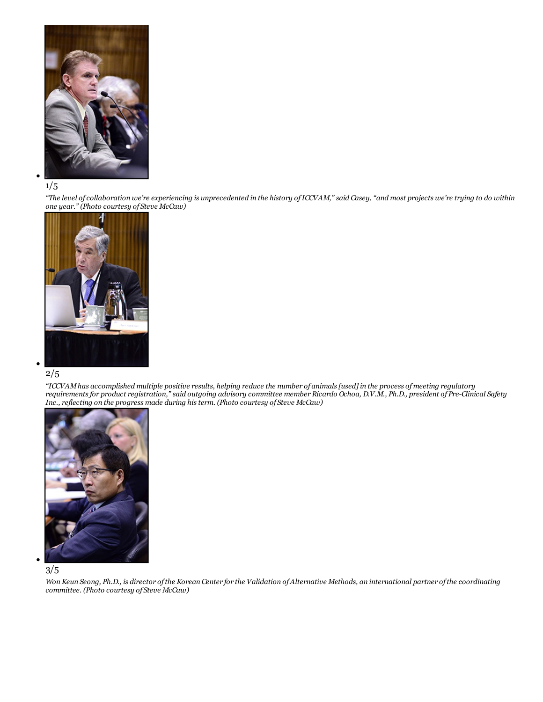

### 1/5

"The level of collaboration we're experiencing is unprecedented in the history of ICCVAM," said Casey, "and most projects we're trying to do within *one year." (Photo courtesy of Steve McCaw)*



### 2/5

"ICCVAM has accomplished multiple positive results, helping reduce the number of animals [used] in the process of meeting regulatory requirements for product registration," said outgoing advisory committee member Ricardo Ochoa, D.V.M., Ph.D., president of Pre-Clinical Safety *Inc., reflecting on the progress made during histerm. (Photo courtesy of Steve McCaw)*





Won Keun Seong, Ph.D., is director of the Korean Center for the Validation of Alternative Methods, an international partner of the coordinating *committee. (Photo courtesy of Steve McCaw)*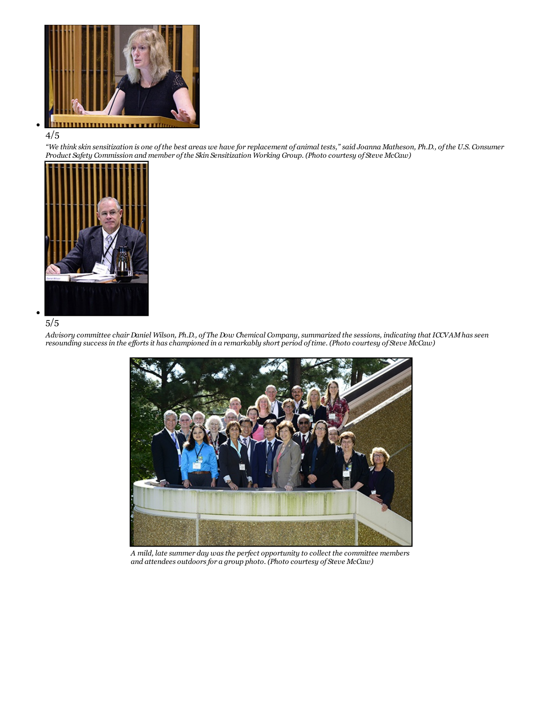

#### 4/5

"We think skin sensitization is one of the best areas we have for replacement of animal tests," said Joanna Matheson, Ph.D., of the U.S. Consumer *Product Safety Commission and member ofthe Skin Sensitization Working Group. (Photo courtesy of Steve McCaw)*



## 5/5

Advisory committee chair Daniel Wilson, Ph.D., of The Dow Chemical Company, summarized the sessions, indicating that ICCVAM has seen resounding success in the efforts it has championed in a remarkably short period of time. (Photo courtesy of Steve McCaw)



*A mild, late summer day wasthe perfect opportunity to collect the committee members and attendees outdoorsfor a group photo. (Photo courtesy of Steve McCaw)*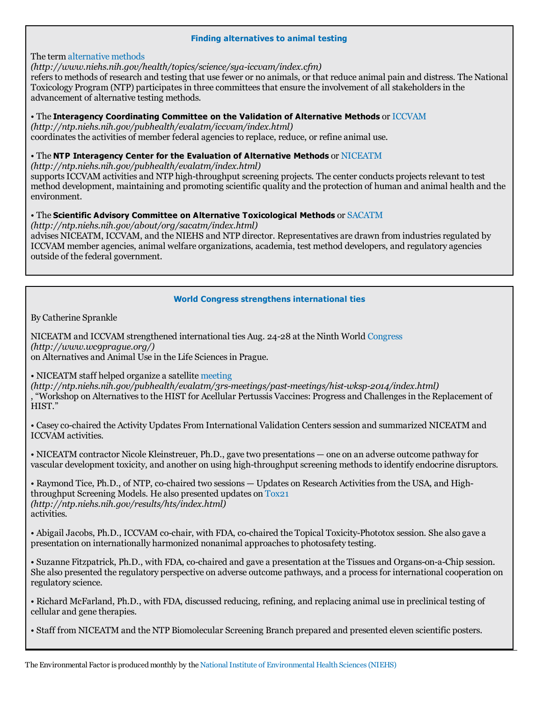#### **Finding alternatives to animal testing**

## The term [alternative](http://www.niehs.nih.gov/health/topics/science/sya-iccvam/index.cfm) methods

*(http://www.niehs.nih.gov/health/topics/science/sya-iccvam/index.cfm)*

refersto methods of research and testing that use fewer or no animals, or that reduce animal pain and distress. The National Toxicology Program (NTP) participates in three committees that ensure the involvement of all stakeholders in the advancement of alternative testing methods.

## • The **Interagency Coordinating Committee on the Validation of Alternative Methods** or [ICCVAM](http://ntp.niehs.nih.gov/pubhealth/evalatm/iccvam/index.html)

*(http://ntp.niehs.nih.gov/pubhealth/evalatm/iccvam/index.html)*

coordinates the activities of member federal agencies to replace, reduce, or refine animal use.

## • The **NTP Interagency Center for the Evaluation of Alternative Methods** or [NICEATM](http://ntp.niehs.nih.gov/pubhealth/evalatm/index.html)

*(http://ntp.niehs.nih.gov/pubhealth/evalatm/index.html)*

supports ICCVAM activities and NTP high-throughput screening projects. The center conducts projects relevant to test method development, maintaining and promoting scientific quality and the protection of human and animal health and the environment.

## • The **Scientific Advisory Committee on Alternative Toxicological Methods** or [SACATM](http://ntp.niehs.nih.gov/about/org/sacatm/index.html)

*(http://ntp.niehs.nih.gov/about/org/sacatm/index.html)* advises NICEATM, ICCVAM, and the NIEHS and NTP director. Representatives are drawn from industriesregulated by ICCVAM member agencies, animal welfare organizations, academia, test method developers, and regulatory agencies outside of the federal government.

## **World Congress strengthens international ties**

By Catherine Sprankle

NICEATM and ICCVAM strengthened international ties Aug. 24-28 at the Ninth World [Congress](http://www.wc9prague.org/) *(http://www.wc9prague.org/)* on Alternatives and Animal Use in the Life Sciencesin Prague.

• NICEATM staff helped organize a satellite [meeting](http://ntp.niehs.nih.gov/pubhealth/evalatm/3rs-meetings/past-meetings/hist-wksp-2014/index.html)

*(http://ntp.niehs.nih.gov/pubhealth/evalatm/3rs-meetings/past-meetings/hist-wksp-2014/index.html)* , "Workshop on Alternativesto the HIST for Acellular Pertussis Vaccines: Progress and Challengesin the Replacement of HIST."

• Casey co-chaired the Activity Updates From International Validation Centers session and summarized NICEATM and ICCVAM activities.

• NICEATM contractor Nicole Kleinstreuer, Ph.D., gave two presentations — one on an adverse outcome pathway for vascular development toxicity, and another on using high-throughput screening methods to identify endocrine disruptors.

• Raymond Tice, Ph.D., of NTP, co-chaired two sessions — Updates on Research Activitiesfrom the USA, and Highthroughput Screening Models. He also presented updates on [Tox21](http://ntp.niehs.nih.gov/results/hts/index.html) *(http://ntp.niehs.nih.gov/results/hts/index.html)* activities.

• Abigail Jacobs, Ph.D., ICCVAM co-chair, with FDA, co-chaired the Topical Toxicity-Phototox session. She also gave a presentation on internationally harmonized nonanimal approachesto photosafety testing.

• Suzanne Fitzpatrick, Ph.D., with FDA, co-chaired and gave a presentation at the Tissues and Organs-on-a-Chip session. She also presented the regulatory perspective on adverse outcome pathways, and a processfor international cooperation on regulatory science.

• Richard McFarland, Ph.D., with FDA, discussed reducing, refining, and replacing animal use in preclinical testing of cellular and gene therapies.

• Staff from NICEATM and the NTP Biomolecular Screening Branch prepared and presented eleven scientific posters.